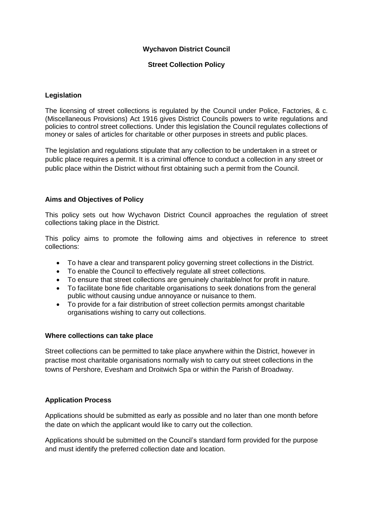## **Wychavon District Council**

## **Street Collection Policy**

#### **Legislation**

The licensing of street collections is regulated by the Council under Police, Factories, & c. (Miscellaneous Provisions) Act 1916 gives District Councils powers to write regulations and policies to control street collections. Under this legislation the Council regulates collections of money or sales of articles for charitable or other purposes in streets and public places.

The legislation and regulations stipulate that any collection to be undertaken in a street or public place requires a permit. It is a criminal offence to conduct a collection in any street or public place within the District without first obtaining such a permit from the Council.

#### **Aims and Objectives of Policy**

This policy sets out how Wychavon District Council approaches the regulation of street collections taking place in the District.

This policy aims to promote the following aims and objectives in reference to street collections:

- To have a clear and transparent policy governing street collections in the District.
- To enable the Council to effectively regulate all street collections.
- To ensure that street collections are genuinely charitable/not for profit in nature.
- To facilitate bone fide charitable organisations to seek donations from the general public without causing undue annoyance or nuisance to them.
- To provide for a fair distribution of street collection permits amongst charitable organisations wishing to carry out collections.

#### **Where collections can take place**

Street collections can be permitted to take place anywhere within the District, however in practise most charitable organisations normally wish to carry out street collections in the towns of Pershore, Evesham and Droitwich Spa or within the Parish of Broadway.

#### **Application Process**

Applications should be submitted as early as possible and no later than one month before the date on which the applicant would like to carry out the collection.

Applications should be submitted on the Council's standard form provided for the purpose and must identify the preferred collection date and location.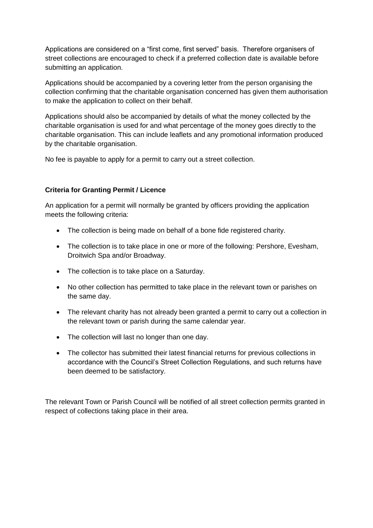Applications are considered on a "first come, first served" basis. Therefore organisers of street collections are encouraged to check if a preferred collection date is available before submitting an application.

Applications should be accompanied by a covering letter from the person organising the collection confirming that the charitable organisation concerned has given them authorisation to make the application to collect on their behalf.

Applications should also be accompanied by details of what the money collected by the charitable organisation is used for and what percentage of the money goes directly to the charitable organisation. This can include leaflets and any promotional information produced by the charitable organisation.

No fee is payable to apply for a permit to carry out a street collection.

# **Criteria for Granting Permit / Licence**

An application for a permit will normally be granted by officers providing the application meets the following criteria:

- The collection is being made on behalf of a bone fide registered charity.
- The collection is to take place in one or more of the following: Pershore, Evesham, Droitwich Spa and/or Broadway.
- The collection is to take place on a Saturday.
- No other collection has permitted to take place in the relevant town or parishes on the same day.
- The relevant charity has not already been granted a permit to carry out a collection in the relevant town or parish during the same calendar year.
- The collection will last no longer than one day.
- The collector has submitted their latest financial returns for previous collections in accordance with the Council's Street Collection Regulations, and such returns have been deemed to be satisfactory.

The relevant Town or Parish Council will be notified of all street collection permits granted in respect of collections taking place in their area.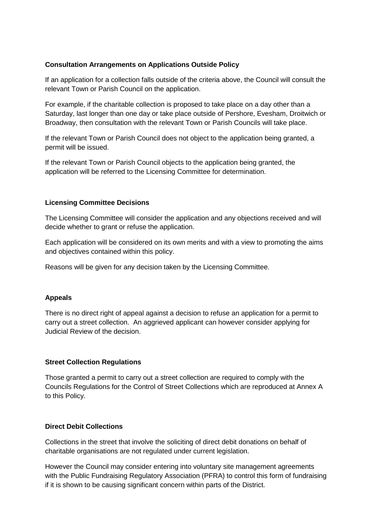# **Consultation Arrangements on Applications Outside Policy**

If an application for a collection falls outside of the criteria above, the Council will consult the relevant Town or Parish Council on the application.

For example, if the charitable collection is proposed to take place on a day other than a Saturday, last longer than one day or take place outside of Pershore, Evesham, Droitwich or Broadway, then consultation with the relevant Town or Parish Councils will take place.

If the relevant Town or Parish Council does not object to the application being granted, a permit will be issued.

If the relevant Town or Parish Council objects to the application being granted, the application will be referred to the Licensing Committee for determination.

## **Licensing Committee Decisions**

The Licensing Committee will consider the application and any objections received and will decide whether to grant or refuse the application.

Each application will be considered on its own merits and with a view to promoting the aims and objectives contained within this policy.

Reasons will be given for any decision taken by the Licensing Committee.

## **Appeals**

There is no direct right of appeal against a decision to refuse an application for a permit to carry out a street collection. An aggrieved applicant can however consider applying for Judicial Review of the decision.

## **Street Collection Regulations**

Those granted a permit to carry out a street collection are required to comply with the Councils Regulations for the Control of Street Collections which are reproduced at Annex A to this Policy.

## **Direct Debit Collections**

Collections in the street that involve the soliciting of direct debit donations on behalf of charitable organisations are not regulated under current legislation.

However the Council may consider entering into voluntary site management agreements with the Public Fundraising Regulatory Association (PFRA) to control this form of fundraising if it is shown to be causing significant concern within parts of the District.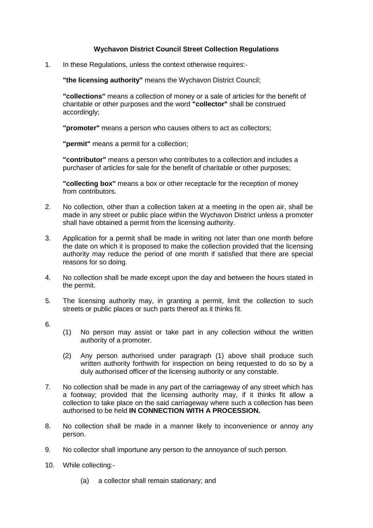# **Wychavon District Council Street Collection Regulations**

1. In these Regulations, unless the context otherwise requires:-

**"the licensing authority"** means the Wychavon District Council;

**"collections"** means a collection of money or a sale of articles for the benefit of charitable or other purposes and the word **"collector"** shall be construed accordingly;

**"promoter"** means a person who causes others to act as collectors;

**"permit"** means a permit for a collection;

**"contributor"** means a person who contributes to a collection and includes a purchaser of articles for sale for the benefit of charitable or other purposes;

**"collecting box"** means a box or other receptacle for the reception of money from contributors.

- 2. No collection, other than a collection taken at a meeting in the open air, shall be made in any street or public place within the Wychavon District unless a promoter shall have obtained a permit from the licensing authority.
- 3. Application for a permit shall be made in writing not later than one month before the date on which it is proposed to make the collection provided that the licensing authority may reduce the period of one month if satisfied that there are special reasons for so doing.
- 4. No collection shall be made except upon the day and between the hours stated in the permit.
- 5. The licensing authority may, in granting a permit, limit the collection to such streets or public places or such parts thereof as it thinks fit.
- 6.
- (1) No person may assist or take part in any collection without the written authority of a promoter.
- (2) Any person authorised under paragraph (1) above shall produce such written authority forthwith for inspection on being requested to do so by a duly authorised officer of the licensing authority or any constable.
- 7. No collection shall be made in any part of the carriageway of any street which has a footway; provided that the licensing authority may, if it thinks fit allow a collection to take place on the said carriageway where such a collection has been authorised to be held **IN CONNECTION WITH A PROCESSION.**
- 8. No collection shall be made in a manner likely to inconvenience or annoy any person.
- 9. No collector shall importune any person to the annoyance of such person.
- 10. While collecting:-
	- (a) a collector shall remain stationary; and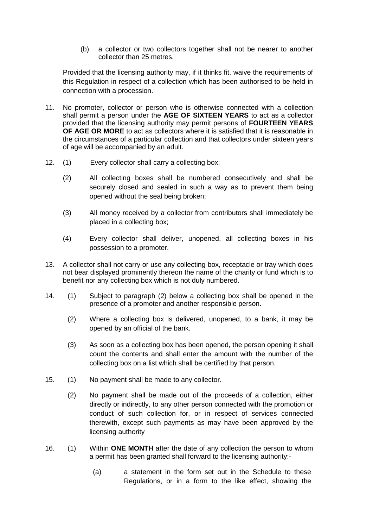(b) a collector or two collectors together shall not be nearer to another collector than 25 metres.

Provided that the licensing authority may, if it thinks fit, waive the requirements of this Regulation in respect of a collection which has been authorised to be held in connection with a procession.

- 11. No promoter, collector or person who is otherwise connected with a collection shall permit a person under the **AGE OF SIXTEEN YEARS** to act as a collector provided that the licensing authority may permit persons of **FOURTEEN YEARS OF AGE OR MORE** to act as collectors where it is satisfied that it is reasonable in the circumstances of a particular collection and that collectors under sixteen years of age will be accompanied by an adult.
- 12. (1) Every collector shall carry a collecting box;
	- (2) All collecting boxes shall be numbered consecutively and shall be securely closed and sealed in such a way as to prevent them being opened without the seal being broken;
	- (3) All money received by a collector from contributors shall immediately be placed in a collecting box;
	- (4) Every collector shall deliver, unopened, all collecting boxes in his possession to a promoter.
- 13. A collector shall not carry or use any collecting box, receptacle or tray which does not bear displayed prominently thereon the name of the charity or fund which is to benefit nor any collecting box which is not duly numbered.
- 14. (1) Subject to paragraph (2) below a collecting box shall be opened in the presence of a promoter and another responsible person.
	- (2) Where a collecting box is delivered, unopened, to a bank, it may be opened by an official of the bank.
	- (3) As soon as a collecting box has been opened, the person opening it shall count the contents and shall enter the amount with the number of the collecting box on a list which shall be certified by that person.
- 15. (1) No payment shall be made to any collector.
	- (2) No payment shall be made out of the proceeds of a collection, either directly or indirectly, to any other person connected with the promotion or conduct of such collection for, or in respect of services connected therewith, except such payments as may have been approved by the licensing authority
- 16. (1) Within **ONE MONTH** after the date of any collection the person to whom a permit has been granted shall forward to the licensing authority:-
	- (a) a statement in the form set out in the Schedule to these Regulations, or in a form to the like effect, showing the